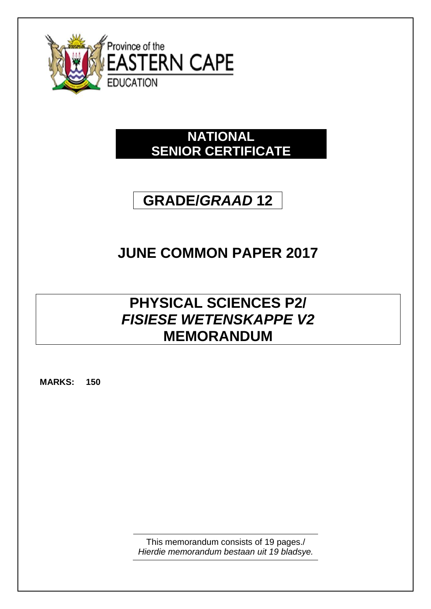

# **NATIONAL SENIOR CERTIFICATE**

# **GRADE/***GRAAD* **12**

# **JUNE COMMON PAPER 2017**

# **PHYSICAL SCIENCES P2/** *FISIESE WETENSKAPPE V2* **MEMORANDUM**

**MARKS: 150**

This memorandum consists of 19 pages./ *Hierdie memorandum bestaan uit 19 bladsye.*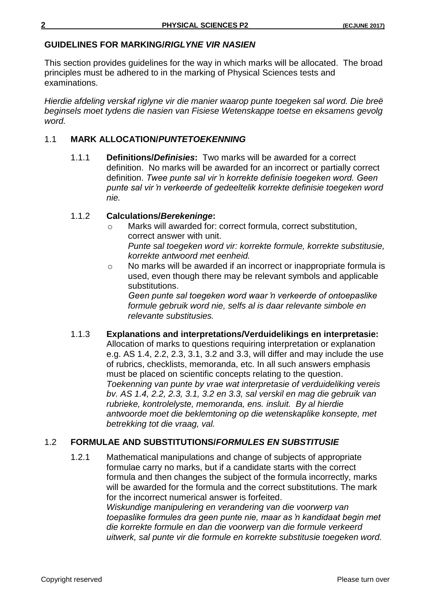# **GUIDELINES FOR MARKING/***RIGLYNE VIR NASIEN*

This section provides guidelines for the way in which marks will be allocated. The broad principles must be adhered to in the marking of Physical Sciences tests and examinations.

*Hierdie afdeling verskaf riglyne vir die manier waarop punte toegeken sal word. Die breë beginsels moet tydens die nasien van Fisiese Wetenskappe toetse en eksamens gevolg word.*

# 1.1 **MARK ALLOCATION/***PUNTETOEKENNING*

1.1.1 **Definitions/***Definisies***:** Two marks will be awarded for a correct definition.No marks will be awarded for an incorrect or partially correct definition. *Twee punte sal vir 'n korrekte definisie toegeken word. Geen punte sal vir 'n verkeerde of gedeeltelik korrekte definisie toegeken word nie.*

#### 1.1.2 **Calculations/***Berekeninge***:**

- o Marks will awarded for: correct formula, correct substitution, correct answer with unit. *Punte sal toegeken word vir: korrekte formule, korrekte substitusie, korrekte antwoord met eenheid.*
- o No marks will be awarded if an incorrect or inappropriate formula is used, even though there may be relevant symbols and applicable substitutions.

*Geen punte sal toegeken word waar 'n verkeerde of ontoepaslike formule gebruik word nie, selfs al is daar relevante simbole en relevante substitusies.*

1.1.3 **Explanations and interpretations/Verduidelikings en interpretasie:**  Allocation of marks to questions requiring interpretation or explanation e.g. AS 1.4, 2.2, 2.3, 3.1, 3.2 and 3.3, will differ and may include the use of rubrics, checklists, memoranda, etc. In all such answers emphasis must be placed on scientific concepts relating to the question. *Toekenning van punte by vrae wat interpretasie of verduideliking vereis bv. AS 1.4, 2.2, 2.3, 3.1, 3.2 en 3.3, sal verskil en mag die gebruik van rubrieke, kontrolelyste, memoranda, ens. insluit. By al hierdie antwoorde moet die beklemtoning op die wetenskaplike konsepte, met betrekking tot die vraag, val.*

# 1.2 **FORMULAE AND SUBSTITUTIONS/***FORMULES EN SUBSTITUSIE*

1.2.1 Mathematical manipulations and change of subjects of appropriate formulae carry no marks, but if a candidate starts with the correct formula and then changes the subject of the formula incorrectly, marks will be awarded for the formula and the correct substitutions. The mark for the incorrect numerical answer is forfeited. *Wiskundige manipulering en verandering van die voorwerp van* 

*toepaslike formules dra geen punte nie, maar as 'n kandidaat begin met die korrekte formule en dan die voorwerp van die formule verkeerd uitwerk, sal punte vir die formule en korrekte substitusie toegeken word.*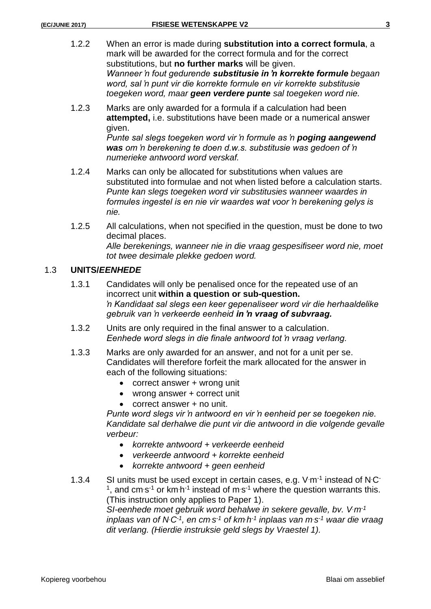- 
- 1.2.2 When an error is made during **substitution into a correct formula**, a mark will be awarded for the correct formula and for the correct substitutions, but **no further marks** will be given. *Wanneer 'n fout gedurende substitusie in 'n korrekte formule begaan word, sal 'n punt vir die korrekte formule en vir korrekte substitusie toegeken word, maar geen verdere punte sal toegeken word nie.*
- 1.2.3 Marks are only awarded for a formula if a calculation had been **attempted,** i.e. substitutions have been made or a numerical answer given.

*Punte sal slegs toegeken word vir 'n formule as 'n poging aangewend was om 'n berekening te doen d.w.s. substitusie was gedoen of 'n numerieke antwoord word verskaf.*

- 1.2.4 Marks can only be allocated for substitutions when values are substituted into formulae and not when listed before a calculation starts. *Punte kan slegs toegeken word vir substitusies wanneer waardes in formules ingestel is en nie vir waardes wat voor 'n berekening gelys is nie.*
- 1.2.5 All calculations, when not specified in the question, must be done to two decimal places. *Alle berekenings, wanneer nie in die vraag gespesifiseer word nie, moet tot twee desimale plekke gedoen word.*

# 1.3 **UNITS/***EENHEDE*

- 1.3.1 Candidates will only be penalised once for the repeated use of an incorrect unit **within a question or sub-question.** *'n Kandidaat sal slegs een keer gepenaliseer word vir die herhaaldelike gebruik van 'n verkeerde eenheid in 'n vraag of subvraag.*
- 1.3.2 Units are only required in the final answer to a calculation. *Eenhede word slegs in die finale antwoord tot 'n vraag verlang.*
- 1.3.3 Marks are only awarded for an answer, and not for a unit per se. Candidates will therefore forfeit the mark allocated for the answer in each of the following situations:
	- correct answer + wrong unit
	- wrong answer + correct unit
	- correct answer + no unit.

*Punte word slegs vir 'n antwoord en vir 'n eenheid per se toegeken nie. Kandidate sal derhalwe die punt vir die antwoord in die volgende gevalle verbeur:*

- *korrekte antwoord + verkeerde eenheid*
- *verkeerde antwoord + korrekte eenheid*
- *korrekte antwoord + geen eenheid*

1.3.4 SI units must be used except in certain cases, e.g.  $V \cdot m^{-1}$  instead of N $\cdot C$ <sup>1</sup>, and cm s<sup>-1</sup> or km h<sup>-1</sup> instead of m s<sup>-1</sup> where the question warrants this. (This instruction only applies to Paper 1). *SI-eenhede moet gebruik word behalwe in sekere gevalle, bv. V.m-1*

*inplaas van of N<sup>C<sub>1</sub></sub>, en cm* s<sup>-1</sup> of km*h*<sup>-1</sup> *inplaas van m* s<sup>-1</sup> waar die vraag</sup> *dit verlang. (Hierdie instruksie geld slegs by Vraestel 1).*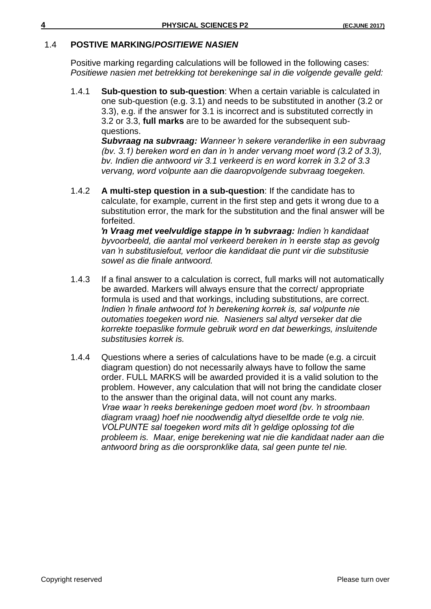# 1.4 **POSTIVE MARKING/***POSITIEWE NASIEN*

Positive marking regarding calculations will be followed in the following cases: *Positiewe nasien met betrekking tot berekeninge sal in die volgende gevalle geld:*

1.4.1 **Sub-question to sub-question**: When a certain variable is calculated in one sub-question (e.g. 3.1) and needs to be substituted in another (3.2 or 3.3), e.g. if the answer for 3.1 is incorrect and is substituted correctly in 3.2 or 3.3, **full marks** are to be awarded for the subsequent subquestions.

*Subvraag na subvraag: Wanneer 'n sekere veranderlike in een subvraag (bv. 3.1) bereken word en dan in 'n ander vervang moet word (3.2 of 3.3), bv. Indien die antwoord vir 3.1 verkeerd is en word korrek in 3.2 of 3.3 vervang, word volpunte aan die daaropvolgende subvraag toegeken.*

1.4.2 **A multi-step question in a sub-question**: If the candidate has to calculate, for example, current in the first step and gets it wrong due to a substitution error, the mark for the substitution and the final answer will be forfeited.

*'n Vraag met veelvuldige stappe in 'n subvraag: Indien 'n kandidaat byvoorbeeld, die aantal mol verkeerd bereken in 'n eerste stap as gevolg van 'n substitusiefout, verloor die kandidaat die punt vir die substitusie sowel as die finale antwoord.*

- 1.4.3 If a final answer to a calculation is correct, full marks will not automatically be awarded. Markers will always ensure that the correct/ appropriate formula is used and that workings, including substitutions, are correct. *Indien 'n finale antwoord tot 'n berekening korrek is, sal volpunte nie outomaties toegeken word nie. Nasieners sal altyd verseker dat die korrekte toepaslike formule gebruik word en dat bewerkings, insluitende substitusies korrek is.*
- 1.4.4 Questions where a series of calculations have to be made (e.g. a circuit diagram question) do not necessarily always have to follow the same order. FULL MARKS will be awarded provided it is a valid solution to the problem. However, any calculation that will not bring the candidate closer to the answer than the original data, will not count any marks. *Vrae waar 'n reeks berekeninge gedoen moet word (bv. 'n stroombaan diagram vraag) hoef nie noodwendig altyd dieselfde orde te volg nie. VOLPUNTE sal toegeken word mits dit 'n geldige oplossing tot die probleem is. Maar, enige berekening wat nie die kandidaat nader aan die antwoord bring as die oorspronklike data, sal geen punte tel nie.*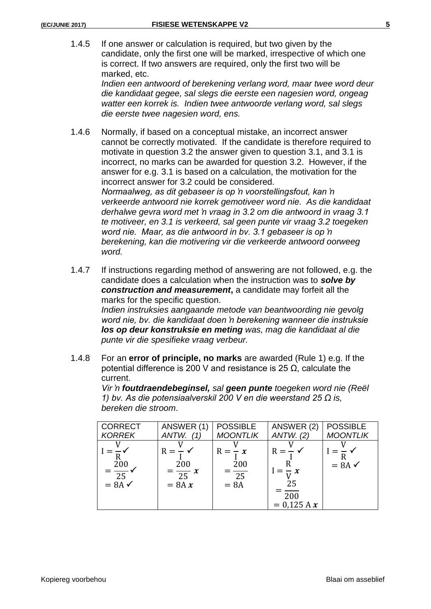1.4.5 If one answer or calculation is required, but two given by the candidate, only the first one will be marked, irrespective of which one is correct. If two answers are required, only the first two will be marked, etc.

> *Indien een antwoord of berekening verlang word, maar twee word deur die kandidaat gegee, sal slegs die eerste een nagesien word, ongeag watter een korrek is. Indien twee antwoorde verlang word, sal slegs die eerste twee nagesien word, ens.*

1.4.6 Normally, if based on a conceptual mistake, an incorrect answer cannot be correctly motivated. If the candidate is therefore required to motivate in question 3.2 the answer given to question 3.1, and 3.1 is incorrect, no marks can be awarded for question 3.2. However, if the answer for e.g. 3.1 is based on a calculation, the motivation for the incorrect answer for 3.2 could be considered. *Normaalweg, as dit gebaseer is op 'n voorstellingsfout, kan 'n verkeerde antwoord nie korrek gemotiveer word nie. As die kandidaat derhalwe gevra word met 'n vraag in 3.2 om die antwoord in vraag 3.1 te motiveer, en 3.1 is verkeerd, sal geen punte vir vraag 3.2 toegeken word nie. Maar, as die antwoord in bv. 3.1 gebaseer is op 'n berekening, kan die motivering vir die verkeerde antwoord oorweeg word.*

1.4.7 If instructions regarding method of answering are not followed, e.g. the candidate does a calculation when the instruction was to *solve by*  **construction and measurement**, a candidate may forfeit all the marks for the specific question.

*Indien instruksies aangaande metode van beantwoording nie gevolg word nie, bv. die kandidaat doen 'n berekening wanneer die instruksie los op deur konstruksie en meting was, mag die kandidaat al die punte vir die spesifieke vraag verbeur.*

1.4.8 For an **error of principle, no marks** are awarded (Rule 1) e.g. If the potential difference is 200 V and resistance is 25 Ω, calculate the current.

> *Vir 'n foutdraendebeginsel, sal geen punte toegeken word nie (Reël 1) bv. As die potensiaalverskil 200 V en die weerstand 25 Ω is, bereken die stroom*.

| <b>CORRECT</b>                                | ANSWER (1)                                             | <b>POSSIBLE</b>                             | ANSWER (2)                                    | <b>POSSIBLE</b>   |
|-----------------------------------------------|--------------------------------------------------------|---------------------------------------------|-----------------------------------------------|-------------------|
| <b>KORREK</b>                                 | ANTW.<br>(1)                                           | <b>MOONTLIK</b>                             | ANTW. (2)                                     | <b>MOONTLIK</b>   |
| 200<br>$=\frac{1}{25}$ .<br>$= 8A \checkmark$ | $R = -\sqrt{ }$<br>200<br>$=\frac{1}{25}x$<br>$= 8A x$ | $R = -x$<br>200<br>$\frac{1}{25}$<br>$= 8A$ | $R = -$<br>$-x$<br>25<br>200<br>$= 0.125 A x$ | $= 8A \checkmark$ |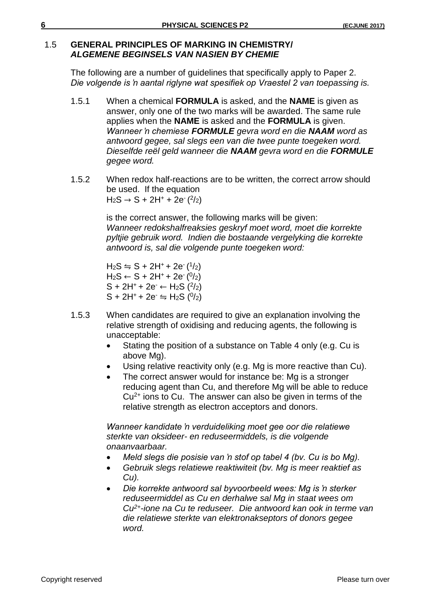# 1.5 **GENERAL PRINCIPLES OF MARKING IN CHEMISTRY/** *ALGEMENE BEGINSELS VAN NASIEN BY CHEMIE*

The following are a number of guidelines that specifically apply to Paper 2. *Die volgende is 'n aantal riglyne wat spesifiek op Vraestel 2 van toepassing is.*

- 1.5.1 When a chemical **FORMULA** is asked, and the **NAME** is given as answer, only one of the two marks will be awarded. The same rule applies when the **NAME** is asked and the **FORMULA** is given. *Wanneer 'n chemiese FORMULE gevra word en die NAAM word as antwoord gegee, sal slegs een van die twee punte toegeken word. Dieselfde reël geld wanneer die NAAM gevra word en die FORMULE gegee word.*
- 1.5.2 When redox half-reactions are to be written, the correct arrow should be used. If the equation  $H_2S \to S + 2H^+ + 2e^{-(2/2)}$

is the correct answer, the following marks will be given: *Wanneer redokshalfreaksies geskryf moet word, moet die korrekte pyltjie gebruik word. Indien die bostaande vergelyking die korrekte antwoord is, sal die volgende punte toegeken word:*

 $H_2S \leftrightharpoons S + 2H^+ + 2e^{-(1/2)}$  $H_2S \leftarrow S + 2H^+ + 2e^{-(0/2)}$  $S + 2H^{+} + 2e^{-} \leftarrow H_{2}S(2/2)$  $S + 2H^+ + 2e^- \leftrightharpoons H_2S$  ( $0/2$ )

- 1.5.3 When candidates are required to give an explanation involving the relative strength of oxidising and reducing agents, the following is unacceptable:
	- Stating the position of a substance on Table 4 only (e.g. Cu is above Mg).
	- Using relative reactivity only (e.g. Mg is more reactive than Cu).
	- The correct answer would for instance be: Mg is a stronger reducing agent than Cu, and therefore Mg will be able to reduce  $Cu<sup>2+</sup>$  ions to Cu. The answer can also be given in terms of the relative strength as electron acceptors and donors.

*Wanneer kandidate 'n verduideliking moet gee oor die relatiewe sterkte van oksideer- en reduseermiddels, is die volgende onaanvaarbaar.*

- *Meld slegs die posisie van 'n stof op tabel 4 (bv. Cu is bo Mg).*
- *Gebruik slegs relatiewe reaktiwiteit (bv. Mg is meer reaktief as Cu).*
- *Die korrekte antwoord sal byvoorbeeld wees: Mg is 'n sterker reduseermiddel as Cu en derhalwe sal Mg in staat wees om Cu2+-ione na Cu te reduseer. Die antwoord kan ook in terme van die relatiewe sterkte van elektronakseptors of donors gegee word.*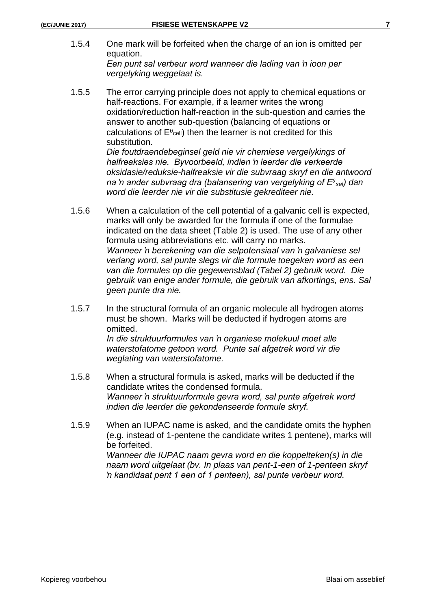- 1.5.4 One mark will be forfeited when the charge of an ion is omitted per equation. *Een punt sal verbeur word wanneer die lading van 'n ioon per vergelyking weggelaat is.*
- 1.5.5 The error carrying principle does not apply to chemical equations or half-reactions. For example, if a learner writes the wrong oxidation/reduction half-reaction in the sub-question and carries the answer to another sub-question (balancing of equations or calculations of  $E^{\theta_{cell}}$ ) then the learner is not credited for this substitution.

*Die foutdraendebeginsel geld nie vir chemiese vergelykings of halfreaksies nie. Byvoorbeeld, indien 'n leerder die verkeerde oksidasie/reduksie-halfreaksie vir die subvraag skryf en die antwoord na 'n ander subvraag dra (balansering van vergelyking of E sel) dan word die leerder nie vir die substitusie gekrediteer nie.*

- 1.5.6 When a calculation of the cell potential of a galvanic cell is expected, marks will only be awarded for the formula if one of the formulae indicated on the data sheet (Table 2) is used. The use of any other formula using abbreviations etc. will carry no marks. *Wanneer 'n berekening van die selpotensiaal van 'n galvaniese sel verlang word, sal punte slegs vir die formule toegeken word as een van die formules op die gegewensblad (Tabel 2) gebruik word. Die gebruik van enige ander formule, die gebruik van afkortings, ens. Sal geen punte dra nie.*
- 1.5.7 In the structural formula of an organic molecule all hydrogen atoms must be shown. Marks will be deducted if hydrogen atoms are omitted. *In die struktuurformules van 'n organiese molekuul moet alle*

*waterstofatome getoon word. Punte sal afgetrek word vir die weglating van waterstofatome.*

- 1.5.8 When a structural formula is asked, marks will be deducted if the candidate writes the condensed formula. *Wanneer 'n struktuurformule gevra word, sal punte afgetrek word indien die leerder die gekondenseerde formule skryf.*
- 1.5.9 When an IUPAC name is asked, and the candidate omits the hyphen (e.g. instead of 1-pentene the candidate writes 1 pentene), marks will be forfeited. *Wanneer die IUPAC naam gevra word en die koppelteken(s) in die naam word uitgelaat (bv. In plaas van pent-1-een of 1-penteen skryf 'n kandidaat pent 1 een of 1 penteen), sal punte verbeur word.*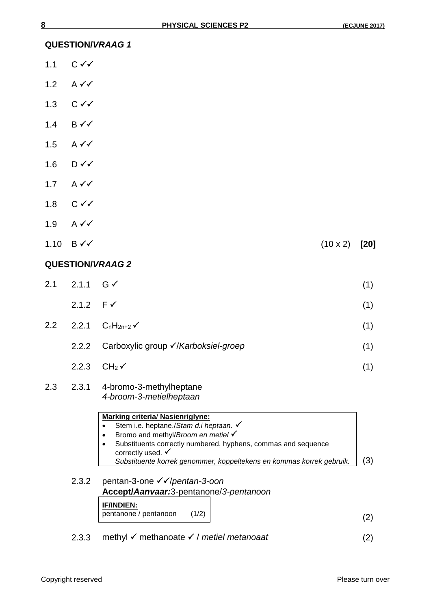**QUESTION/***VRAAG 1*

- 1.1  $C \checkmark$
- 1.2 A  $\checkmark\checkmark$
- 1.3  $C \checkmark$
- 1.4  $B\checkmark\checkmark$
- 1.5 A  $\checkmark\checkmark$
- 1.6  $D\sqrt{}$
- 1.7  $A \checkmark$
- 1.8  $C \checkmark$
- 1.9  $A \vee C$
- $1.10 \text{ B} \checkmark \checkmark$  (10 x 2) [20]

#### **QUESTION/***VRAAG 2*

| 2.1 2.1.1 $G \checkmark$ | (1) |
|--------------------------|-----|
| 2.1.2 $F \checkmark$     | (1) |

- 2.2 2.2.1  $C_nH_{2n+2}$  (1)
	- 2.2.2 Carboxylic group /*Karboksiel-groep* (1)
	- $2.2.3$  CH<sub>2</sub> $\checkmark$  (1)

#### 2.3 2.3.1 4-bromo-3-methylheptane *4-broom-3-metielheptaan*

# **Marking criteria**/ **Nasienriglyne:** Stem i.e. heptane./*Stam d.i heptaan.* Bromo and methyl/*Broom en metiel*  Substituents correctly numbered, hyphens, commas and sequence correctly used.  $\checkmark$ *Substituente korrek genommer, koppeltekens en kommas korrek gebruik.* (3) 2.3.2 pentan-3-one <del>√</del> ∕/pentan-3-oon **Accept/***Aanvaar:*3-pentanone/*3-pentanoon* **IF/INDIEN:** pentanone / pentanoon (1/2) (2)

2.3.3 methyl  $\checkmark$  methanoate  $\checkmark$  / metiel metanoaat (2)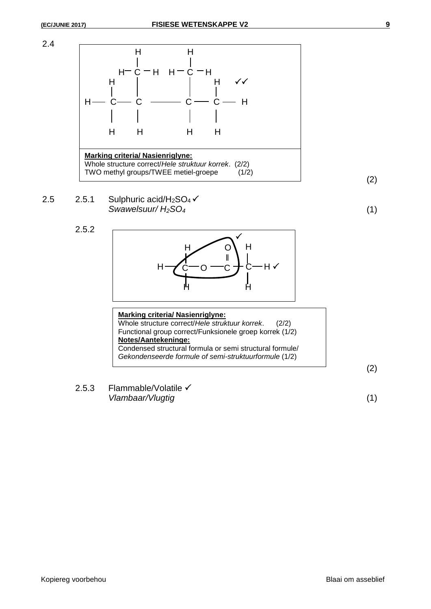2.4



2.5 2.5.1 
$$
\text{Sulphuric acid/H}_2\text{SO}_4 \checkmark
$$
  
Swawelsuur/H}\_2\text{SO}\_4 (1)

2.5.2



| <b>Marking criteria/ Nasienriglyne:</b>                                                                           |
|-------------------------------------------------------------------------------------------------------------------|
| Whole structure correct/Hele struktuur korrek.<br>(2/2)                                                           |
| Functional group correct/Funksionele groep korrek (1/2)                                                           |
| Notes/Aantekeninge:                                                                                               |
| Condensed structural formula or semi structural formule/<br>Gekondenseerde formule of semi-struktuurformule (1/2) |
|                                                                                                                   |

2.5.3 Flammable/Volatile √ *Vlambaar/Vlugtig* (1)

(2)

(2)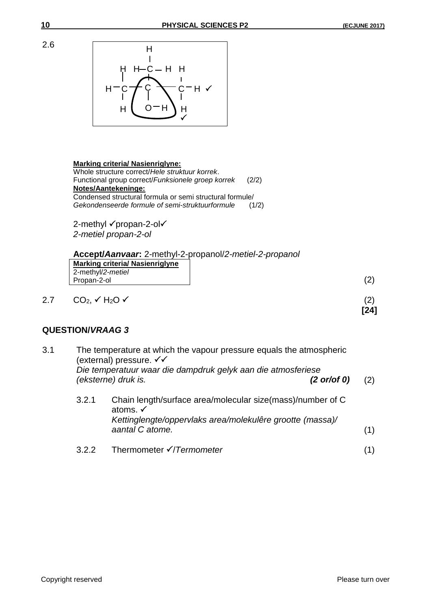

#### **Marking criteria/ Nasienriglyne:**

Whole structure correct/*Hele struktuur korrek*. Functional group correct/*Funksionele groep korrek* (2/2) **Notes/Aantekeninge:** Condensed structural formula or semi structural formule/ *Gekondenseerde formule of semi-struktuurformule* (1/2)

2-methyl √propan-2-ol√ *2-metiel propan-2-ol*

**Accept/***Aanvaar***:** 2-methyl-2-propanol/*2-metiel-2-propanol*

| <b>Marking criteria/ Nasienriglyne</b> |  |
|----------------------------------------|--|
| 2-methyl/2-metiel                      |  |
| Propan-2-ol                            |  |
|                                        |  |

# **QUESTION/***VRAAG 3*

| 3.1 |       | The temperature at which the vapour pressure equals the atmospheric<br>(external) pressure. √√<br>Die temperatuur waar die dampdruk gelyk aan die atmosferiese<br>(eksterne) druk is.<br>$(2 \text{ or/or } 0)$ | (2) |
|-----|-------|-----------------------------------------------------------------------------------------------------------------------------------------------------------------------------------------------------------------|-----|
|     | 3.2.1 | Chain length/surface area/molecular size(mass)/number of C<br>atoms. √<br>Kettinglengte/oppervlaks area/molekulêre grootte (massa)/<br>aantal C atome.                                                          | (1) |
|     | 3.2.2 | Thermometer √/Termometer                                                                                                                                                                                        |     |

**[24]**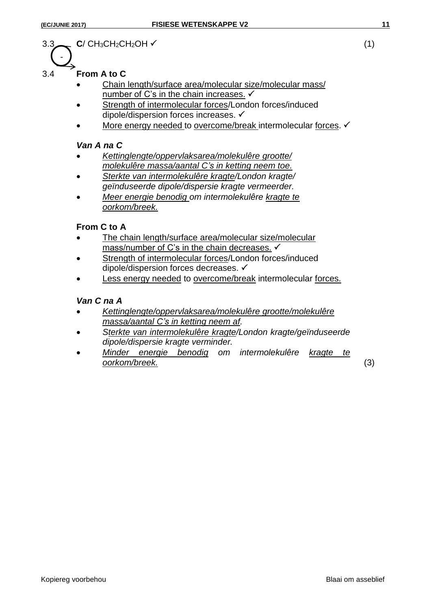-

# $3.3$  **C**/ CH<sub>3</sub>CH<sub>2</sub>CH<sub>2</sub>OH  $\checkmark$  (1)

# 3.4 **From A to C**

- Chain length/surface area/molecular size/molecular mass/ number of C's in the chain increases.  $\checkmark$
- Strength of intermolecular forces/London forces/induced dipole/dispersion forces increases.
- More energy needed to overcome/break intermolecular forces. √

#### *Van A na C*

- *Kettinglengte/oppervlaksarea/molekulêre grootte/ molekulêre massa/aantal C's in ketting neem toe.*
- *Sterkte van intermolekulêre kragte/London kragte/ geïnduseerde dipole/dispersie kragte vermeerder.*
- *Meer energie benodig om intermolekulêre kragte te oorkom/breek.*

# **From C to A**

- The chain length/surface area/molecular size/molecular mass/number of C's in the chain decreases.  $\checkmark$
- Strength of intermolecular forces/London forces/induced dipole/dispersion forces decreases.
- Less energy needed to overcome/break intermolecular forces.

### *Van C na A*

- *Kettinglengte/oppervlaksarea/molekulêre grootte/molekulêre massa/aantal C's in ketting neem af.*
- *Sterkte van intermolekulêre kragte/London kragte/geïnduseerde dipole/dispersie kragte verminder.*
- *Minder energie benodig om intermolekulêre kragte te oorkom/breek.* (3)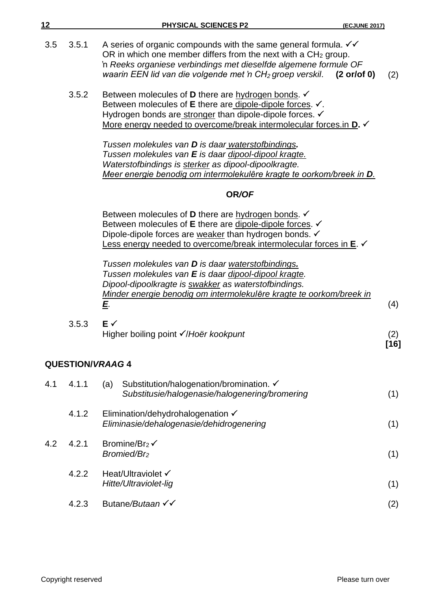| 12  |       | PHYSICAL SCIENCES P2<br><b>(ECJUNE 2017)</b>                                                                                                                                                                                                                                                           |               |
|-----|-------|--------------------------------------------------------------------------------------------------------------------------------------------------------------------------------------------------------------------------------------------------------------------------------------------------------|---------------|
| 3.5 | 3.5.1 | A series of organic compounds with the same general formula. $\checkmark\checkmark$<br>OR in which one member differs from the next with a $CH2$ group.<br>'n Reeks organiese verbindings met dieselfde algemene formule OF<br>waarin EEN lid van die volgende met 'n $CH2$ groep verskil. (2 or/of 0) | (2)           |
|     | 3.5.2 | Between molecules of <b>D</b> there are hydrogen bonds. $\checkmark$<br>Between molecules of E there are dipole-dipole forces. √.<br>Hydrogen bonds are stronger than dipole-dipole forces. V<br>More energy needed to overcome/break intermolecular forces.in <b>D.</b>                               |               |
|     |       | Tussen molekules van <b>D</b> is daar waterstofbindings.<br>Tussen molekules van E is daar dipool-dipool kragte.<br>Waterstofbindings is sterker as dipool-dipoolkragte.<br>Meer energie benodig om intermolekulêre kragte te oorkom/breek in D.                                                       |               |
|     |       | OR/OF                                                                                                                                                                                                                                                                                                  |               |
|     |       | Between molecules of <b>D</b> there are hydrogen bonds. $\checkmark$<br>Between molecules of E there are dipole-dipole forces. V<br>Dipole-dipole forces are weaker than hydrogen bonds. √<br>Less energy needed to overcome/break intermolecular forces in E.                                         |               |
|     |       | Tussen molekules van <b>D</b> is daar waterstofbindings.<br>Tussen molekules van E is daar dipool-dipool kragte.<br>Dipool-dipoolkragte is swakker as waterstofbindings.<br>Minder energie benodig om intermolekulêre kragte te oorkom/breek in<br>E.                                                  | (4)           |
|     | 3.5.3 | $E \checkmark$<br>Higher boiling point √/Hoër kookpunt                                                                                                                                                                                                                                                 | (2)<br>$[16]$ |
|     |       | <b>QUESTION/VRAAG4</b>                                                                                                                                                                                                                                                                                 |               |
| 4.1 | 4.1.1 | Substitution/halogenation/bromination. ✓<br>(a)<br>Substitusie/halogenasie/halogenering/bromering                                                                                                                                                                                                      | (1)           |
|     | 4.1.2 | Elimination/dehydrohalogenation √<br>Eliminasie/dehalogenasie/dehidrogenering                                                                                                                                                                                                                          | (1)           |
| 4.2 | 4.2.1 | Bromine/Br <sub>2</sub> $\checkmark$<br>Bromied/Br <sub>2</sub>                                                                                                                                                                                                                                        | (1)           |
|     | 4.2.2 | Heat/Ultraviolet √<br>Hitte/Ultraviolet-lig                                                                                                                                                                                                                                                            | (1)           |
|     | 4.2.3 | Butane/Butaan √√                                                                                                                                                                                                                                                                                       | (2)           |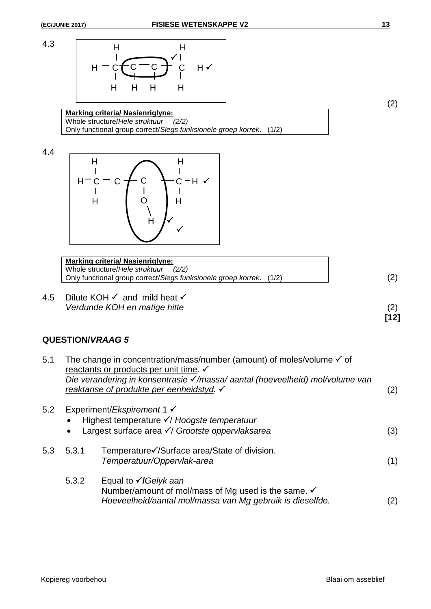



**Marking criteria/ Nasienriglyne:** Whole structure/*Hele struktuur (2/2)* Only functional group correct/*Slegs funksionele groep korrek*. (1/2)

4.4



**Marking criteria/ Nasienriglyne:** Whole structure/*Hele struktuur (2/2)* Only functional group correct/*Slegs funksionele groep korrek*. (1/2) (2)

4.5 Dilute KOH  $\checkmark$  and mild heat  $\checkmark$ *Verdunde KOH en matige hitte* (2)

# **QUESTION/***VRAAG 5*

| 5.1 |       | The change in concentration/mass/number (amount) of moles/volume $\checkmark$ of<br>reactants or products per unit time. $\checkmark$<br>Die verandering in konsentrasie √/massa/aantal (hoeveelheid) mol/volume van<br>reaktanse of produkte per eenheidstyd. √ | (2) |
|-----|-------|------------------------------------------------------------------------------------------------------------------------------------------------------------------------------------------------------------------------------------------------------------------|-----|
| 5.2 |       | Experiment/ <i>Ekspirement</i> 1 $\checkmark$<br>Highest temperature √/ Hoogste temperatuur<br>Largest surface area √/ Grootste oppervlaksarea                                                                                                                   | (3) |
| 5.3 | 5.3.1 | Temperature√/Surface area/State of division.<br>Temperatuur/Oppervlak-area                                                                                                                                                                                       | (1) |
|     | 5.3.2 | Equal to $\sqrt{G}$ elyk aan<br>Number/amount of mol/mass of Mg used is the same. √<br>Hoeveelheid/aantal mol/massa van Mg gebruik is dieselfde.                                                                                                                 | (2) |

(2)

**[12]**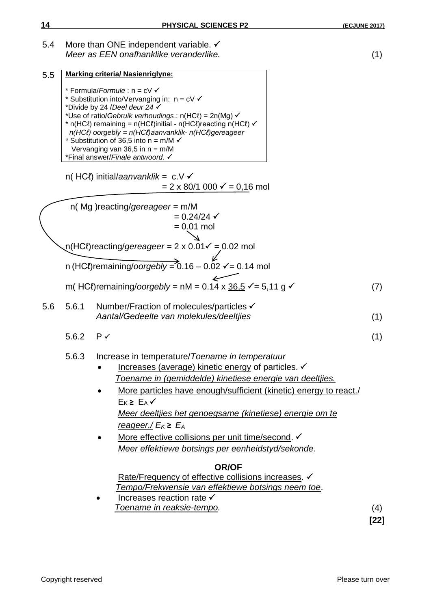5.4 More than ONE independent variable. ✓ *Meer as EEN onafhanklike veranderlike.* (1)

| 5.5 |                      | <b>Marking criteria/ Nasienriglyne:</b>                                                                                                |     |
|-----|----------------------|----------------------------------------------------------------------------------------------------------------------------------------|-----|
|     |                      | * Formula/Formule : n = cV V                                                                                                           |     |
|     |                      | * Substitution into/Vervanging in: $n = c \vee \checkmark$<br>*Divide by 24 /Deel deur 24 $\checkmark$                                 |     |
|     |                      | *Use of ratio/Gebruik verhoudings.: n(HCl) = 2n(Mg) $\checkmark$                                                                       |     |
|     |                      | * n(HCl) remaining = n(HCl)initial - n(HCl)reacting n(HCl) $\checkmark$<br>$n(HCl)$ oorgebly = $n(HCl)$ aanvanklik- $n(HCl)$ gereageer |     |
|     |                      | * Substitution of 36,5 into $n = m/M$ $\checkmark$                                                                                     |     |
|     |                      | Vervanging van 36,5 in $n = m/M$<br>*Final answer/Finale antwoord.                                                                     |     |
|     |                      |                                                                                                                                        |     |
|     |                      | n(HCl) initial/aanvanklik = $c.V \checkmark$                                                                                           |     |
|     |                      | $= 2 \times 80/1$ 000 $\checkmark$ = 0,16 mol                                                                                          |     |
|     |                      | $n($ Mg ) reacting/gereageer = $m/M$                                                                                                   |     |
|     |                      | $= 0.24/24$ $\checkmark$                                                                                                               |     |
|     |                      | $= 0.01$ mol                                                                                                                           |     |
|     |                      | $n(HC\ell)$ reacting/gereageer = 2 x 0.01 $\ell$ = 0.02 mol                                                                            |     |
|     |                      | n (HCl)remaining/oorgebly = $0.16 - 0.02$ $\checkmark$ = 0.14 mol                                                                      |     |
|     |                      | m(HCl)remaining/oorgebly = nM = 0.14 x $36.5 \checkmark$ = 5,11 g $\checkmark$                                                         | (7) |
| 5.6 | 5.6.1                | Number/Fraction of molecules/particles √                                                                                               |     |
|     |                      | Aantal/Gedeelte van molekules/deeltjies                                                                                                | (1) |
|     | 5.6.2 $P \checkmark$ |                                                                                                                                        | (1) |
|     | 5.6.3                | Increase in temperature/Toename in temperatuur                                                                                         |     |
|     |                      | Increases (average) kinetic energy of particles. V                                                                                     |     |
|     |                      | Toename in (gemiddelde) kinetiese energie van deeltjies.                                                                               |     |
|     |                      | More particles have enough/sufficient (kinetic) energy to react./                                                                      |     |
|     |                      | $E_{K} \ge E_{A}$                                                                                                                      |     |
|     |                      | Meer deeltjies het genoegsame (kinetiese) energie om te                                                                                |     |
|     |                      | reageer./ $E_K \ge E_A$                                                                                                                |     |
|     |                      | More effective collisions per unit time/second. V                                                                                      |     |
|     |                      | Meer effektiewe botsings per eenheidstyd/sekonde.                                                                                      |     |
|     |                      | <b>OR/OF</b>                                                                                                                           |     |
|     |                      | Rate/Frequency of effective collisions increases. V                                                                                    |     |
|     |                      | Tempo/Frekwensie van effektiewe botsings neem toe.<br>Increases reaction rate √                                                        |     |
|     |                      | <u>Toename in reaksie-tempo.</u>                                                                                                       | (4) |

**[22]**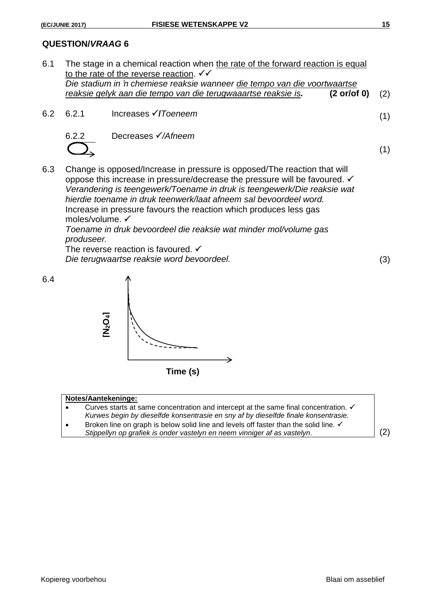#### **QUESTION/***VRAAG* **6**

- 6.1 The stage in a chemical reaction when the rate of the forward reaction is equal to the rate of the reverse reaction.  $\checkmark\checkmark$ *Die stadium in 'n chemiese reaksie wanneer die tempo van die voortwaartse reaksie gelyk aan die tempo van die terugwaaartse reaksie is.* **(2 or/of 0)** (2)
- 6.2 6.2.1 Increases **/***Toeneem* (1)

6.2.2 Decreases 
$$
√/Arheem
$$



6.3 Change is opposed/Increase in pressure is opposed/The reaction that will oppose this increase in pressure/decrease the pressure will be favoured. ✓ *Verandering is teengewerk/Toename in druk is teengewerk/Die reaksie wat hierdie toename in druk teenwerk/laat afneem sal bevoordeel word.* Increase in pressure favours the reaction which produces less gas moles/volume.

*Toename in druk bevoordeel die reaksie wat minder mol/volume gas produseer.* 

The reverse reaction is favoured.  $\checkmark$ *Die terugwaartse reaksie word bevoordeel.* (3)

(1)



**Time (s)**

#### **Notes/Aantekeninge:**

- Curves starts at same concentration and intercept at the same final concentration.  $\checkmark$ *Kurwes begin by dieselfde konsentrasie en sny af by dieselfde finale konsentrasie.* **Firme (S)**<br> **State Keninge:**<br> **State Keninge:**<br> *Stirves starts at same concentration and intercept at the same final concentration.*  $\checkmark$ *<br>
<i>Kurwes begin by dieselfde konsentrasie en sny af by dieselfde finale konsentrasi*
- Broken line on graph is below solid line and levels off faster than the solid line.  $\checkmark$ <br>Stippellyn op grafiek is onder vastelyn en neem vinniger af as vastelyn.

Kopiereg voorbehou **Blaai om asseblief**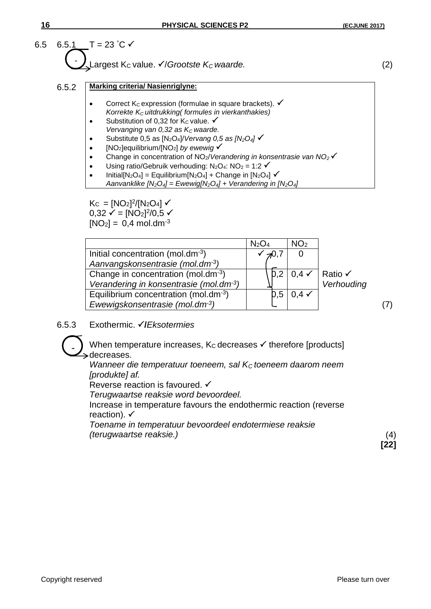

- Correct K<sub>c</sub> expression (formulae in square brackets).  $\checkmark$ *Korrekte KC uitdrukking( formules in vierkanthakies)*
- Substitution of 0,32 for K<sub>c</sub> value.  $\checkmark$ *Vervanging van 0,32 as K<sub>c</sub> waarde.*
- Substitute 0,5 as [N2O4]/*Vervang 0,5 as [N2O4]*
- [NO2]equilibrium/[NO2] *by ewewig*
- Change in concentration of NO2/*Verandering in konsentrasie van NO2*
- Using ratio/Gebruik verhouding:  $N_2O_4$ :  $NO_2 = 1:2 \checkmark$
- Initial[N<sub>2</sub>O<sub>4</sub>] = Equilibrium[N<sub>2</sub>O<sub>4</sub>] + Change in [N<sub>2</sub>O<sub>4</sub>]  $\checkmark$ 
	- *Aanvanklike [N2O4] = Ewewig[N2O4] + Verandering in [N2O4]*

 $K_C = [NO_2]^2/[N_2O_4]$  $0,32 \checkmark = [NO_2]^2/0,5 \checkmark$  $[NO<sub>2</sub>] = 0,4$  mol.dm<sup>-3</sup>

|                                                    | N <sub>2</sub> O <sub>4</sub> | NO <sub>2</sub>  |                                             |  |
|----------------------------------------------------|-------------------------------|------------------|---------------------------------------------|--|
| Initial concentration (mol.dm $3$ )                | $\neg$ 0,7                    |                  |                                             |  |
| Aanvangskonsentrasie (mol.dm <sup>3</sup> )        |                               |                  |                                             |  |
| Change in concentration (mol.dm $3$ )              |                               |                  | $D,2   0,4 \checkmark  $ Ratio $\checkmark$ |  |
| Verandering in konsentrasie (mol.dm <sup>3</sup> ) |                               |                  | Verhouding                                  |  |
| Equilibrium concentration (mol.dm <sup>-3</sup> )  | D, 5                          | $0.4 \checkmark$ |                                             |  |
| Ewewigskonsentrasie (mol.dm-3)                     |                               |                  |                                             |  |

6.5.3 Exothermic. **/***Eksotermies*

When temperature increases,  $K_C$  decreases  $\checkmark$  therefore [products] decreases.

*Wanneer die temperatuur toeneem, sal KC toeneem daarom neem [produkte] af.*

Reverse reaction is favoured. ✓

*Terugwaartse reaksie word bevoordeel.*

Increase in temperature favours the endothermic reaction (reverse reaction).  $\checkmark$ 

*Toename in temperatuur bevoordeel endotermiese reaksie (terugwaartse reaksie.)* (4)

**[22]**

-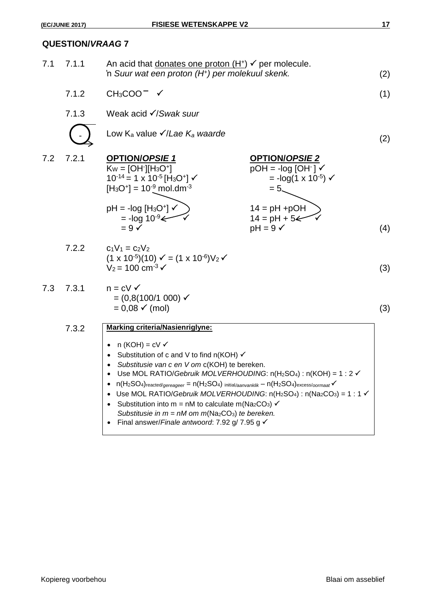| 7.1 | 7.1.1 | An acid that donates one proton $(H+)$ $\checkmark$ per molecule.<br>'n Suur wat een proton (H <sup>+</sup> ) per molekuul skenk.                                                                                                                                                                                                                                                                                                                                                                                                                                                                                                                       |                                                                                                            | (2) |
|-----|-------|---------------------------------------------------------------------------------------------------------------------------------------------------------------------------------------------------------------------------------------------------------------------------------------------------------------------------------------------------------------------------------------------------------------------------------------------------------------------------------------------------------------------------------------------------------------------------------------------------------------------------------------------------------|------------------------------------------------------------------------------------------------------------|-----|
|     | 7.1.2 | $CH3COO-$                                                                                                                                                                                                                                                                                                                                                                                                                                                                                                                                                                                                                                               |                                                                                                            | (1) |
|     | 7.1.3 | Weak acid $\checkmark$ /Swak suur                                                                                                                                                                                                                                                                                                                                                                                                                                                                                                                                                                                                                       |                                                                                                            |     |
|     |       | Low K <sub>a</sub> value $\sqrt{2}$ <i>Lae K<sub>a</sub> waarde</i>                                                                                                                                                                                                                                                                                                                                                                                                                                                                                                                                                                                     |                                                                                                            | (2) |
| 7.2 | 7.2.1 | <b>OPTION/OPSIE1</b><br>$K_W = [OH^-][H_3O^+]$<br>$10^{-14}$ = 1 x 10 <sup>-5</sup> [H <sub>3</sub> O <sup>+</sup> ] $\checkmark$<br>$[H3O+] = 10-9$ mol.dm <sup>-3</sup>                                                                                                                                                                                                                                                                                                                                                                                                                                                                               | <b>OPTION/OPSIE 2</b><br>$pOH = -log [OH] \checkmark$<br>$= -\log(1 \times 10^{-5})$ $\checkmark$<br>$= 5$ |     |
|     |       | $pH = -log [H3O+]$<br>$= -\log 10^{-9}$<br>$= 9 \checkmark$                                                                                                                                                                                                                                                                                                                                                                                                                                                                                                                                                                                             | $14 = pH +pOH$<br>14 = $pH + 5 \n\infty$<br>$pH = 9 \checkmark$                                            | (4) |
|     | 7.2.2 | $c_1V_1 = c_2V_2$<br>$(1 \times 10^{-5})(10) \checkmark = (1 \times 10^{-6})V_2 \checkmark$<br>$V_2$ = 100 cm <sup>-3</sup> $\checkmark$                                                                                                                                                                                                                                                                                                                                                                                                                                                                                                                |                                                                                                            | (3) |
| 7.3 | 7.3.1 | $n = cV \checkmark$<br>$= (0,8(100/1 000) \checkmark$<br>$= 0.08 \checkmark$ (mol)                                                                                                                                                                                                                                                                                                                                                                                                                                                                                                                                                                      |                                                                                                            | (3) |
|     | 7.3.2 | <b>Marking criteria/Nasienriglyne:</b><br>n (KOH) = cV <b>✓</b><br>Substitution of c and V to find n(KOH) √<br>Substitusie van c en V om c(KOH) te bereken.<br>Use MOL RATIO/Gebruik MOLVERHOUDING: $n(H_2SO_4)$ : $n(KOH) = 1:2 \checkmark$<br>$n(H_2SO_4)$ reacted/gereageer = $n(H_2SO_4)$ initial/aanvanklik - $n(H_2SO_4)$ excess/oormaat $\checkmark$<br>Use MOL RATIO/Gebruik MOLVERHOUDING: $n(H_2SO_4)$ : $n(Na_2CO_3) = 1 : 1 \checkmark$<br>Substitution into m = nM to calculate m(Na <sub>2</sub> CO <sub>3</sub> ) $\checkmark$<br>Substitusie in $m = nM$ om $m(Na_2CO_3)$ te bereken.<br>Final answer/Finale antwoord: 7.92 g/ 7.95 g √ |                                                                                                            |     |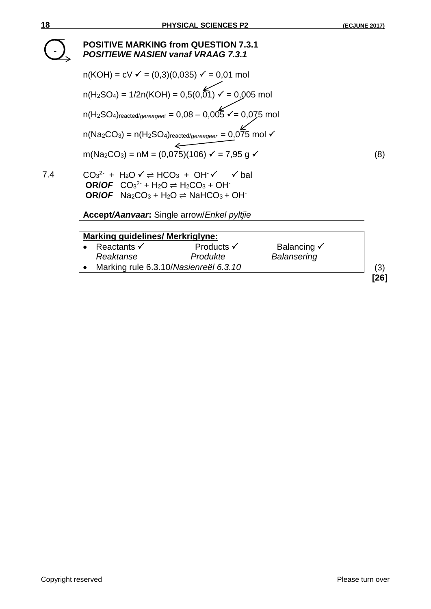

| <b>Marking guidelines/ Merkriglyne:</b> |                                       |                                   |      |
|-----------------------------------------|---------------------------------------|-----------------------------------|------|
| Reactants $\checkmark$<br>Reaktanse     | Products $\checkmark$<br>Produkte     | Balancing √<br><b>Balansering</b> |      |
|                                         | Marking rule 6.3.10/Nasienreël 6.3.10 |                                   | (3)  |
|                                         |                                       |                                   | [26] |